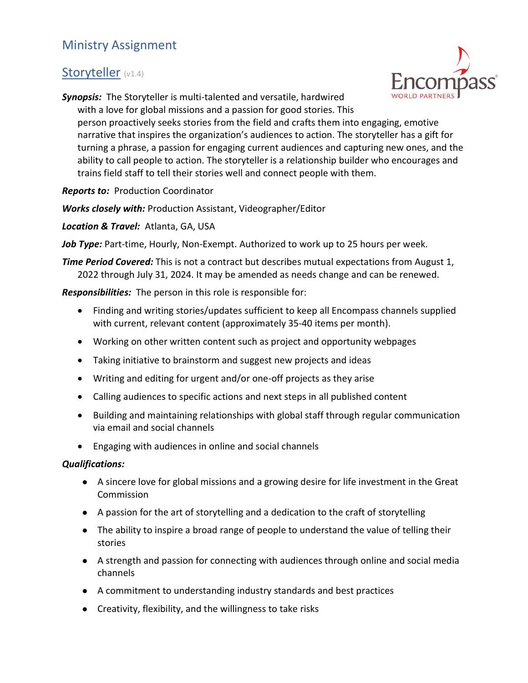## Ministry Assignment

## Storyteller (v1.4)



Synopsis: The Storyteller is multi-talented and versatile, hardwired

with a love for global missions and a passion for good stories. This person proactively seeks stories from the field and crafts them into engaging, emotive narrative that inspires the organization's audiences to action. The storyteller has a gift for turning a phrase, a passion for engaging current audiences and capturing new ones, and the ability to call people to action. The storyteller is a relationship builder who encourages and trains field staff to tell their stories well and connect people with them.

**Reports to: Production Coordinator** 

Works closely with: Production Assistant, Videographer/Editor

Location & Travel: Atlanta, GA, USA

Job Type: Part-time, Hourly, Non-Exempt. Authorized to work up to 25 hours per week.

**Time Period Covered:** This is not a contract but describes mutual expectations from August 1, 2022 through July 31, 2024. It may be amended as needs change and can be renewed.

Responsibilities: The person in this role is responsible for:

- Finding and writing stories/updates sufficient to keep all Encompass channels supplied with current, relevant content (approximately 35-40 items per month).
- Working on other written content such as project and opportunity webpages
- Taking initiative to brainstorm and suggest new projects and ideas
- Writing and editing for urgent and/or one-off projects as they arise
- Calling audiences to specific actions and next steps in all published content
- Building and maintaining relationships with global staff through regular communication via email and social channels
- Engaging with audiences in online and social channels

## Qualifications:

- A sincere love for global missions and a growing desire for life investment in the Great Commission
- A passion for the art of storytelling and a dedication to the craft of storytelling
- The ability to inspire a broad range of people to understand the value of telling their stories
- A strength and passion for connecting with audiences through online and social media channels
- A commitment to understanding industry standards and best practices
- Creativity, flexibility, and the willingness to take risks